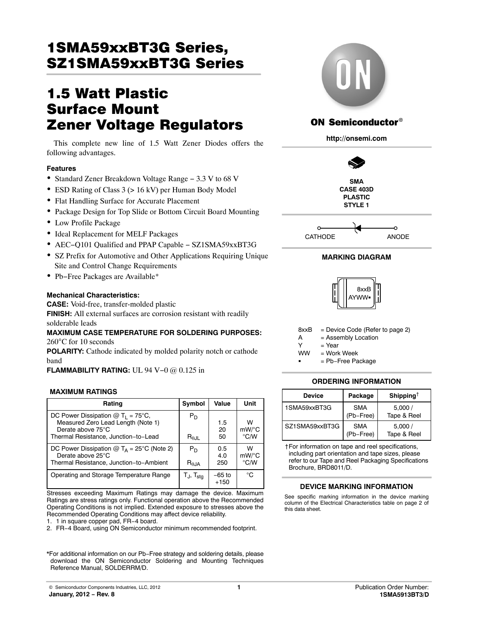# 1SMA59xxBT3G Series, <u>Szeries Szeries Szeries Szeries Szeries Szeries Szeries Szeries Szeries Szeries Szeries Szeries Szeries Szerie</u>

## **1.5 Watt Plastic Surface Mount Zener Voltage Regulators**

This complete new line of 1.5 Watt Zener Diodes offers the following advantages.

## **Features**

- Standard Zener Breakdown Voltage Range − 3.3 V to 68 V
- ESD Rating of Class 3 (> 16 kV) per Human Body Model
- Flat Handling Surface for Accurate Placement
- Package Design for Top Slide or Bottom Circuit Board Mounting
- Low Profile Package
- Ideal Replacement for MELF Packages
- AEC−Q101 Qualified and PPAP Capable − SZ1SMA59xxBT3G
- SZ Prefix for Automotive and Other Applications Requiring Unique Site and Control Change Requirements
- Pb−Free Packages are Available\*

## **Mechanical Characteristics:**

**CASE:** Void-free, transfer-molded plastic **FINISH:** All external surfaces are corrosion resistant with readily solderable leads

## **MAXIMUM CASE TEMPERATURE FOR SOLDERING PURPOSES:** 260°C for 10 seconds

**POLARITY:** Cathode indicated by molded polarity notch or cathode band

**FLAMMABILITY RATING:** UL 94 V−0 @ 0.125 in

## **MAXIMUM RATINGS**

| Rating                                                                                                                                         | Symbol                          | Value              | Unit                  |
|------------------------------------------------------------------------------------------------------------------------------------------------|---------------------------------|--------------------|-----------------------|
| DC Power Dissipation $@T_1 = 75^{\circ}C$ ,<br>Measured Zero Lead Length (Note 1)<br>Derate above 75°C<br>Thermal Resistance, Junction-to-Lead | $P_D$<br>$R_{\theta \text{JL}}$ | 1.5<br>20<br>50    | w<br>$mW$ /°C<br>°C∕W |
| DC Power Dissipation $@T_A = 25^{\circ}C$ (Note 2)<br>Derate above 25°C<br>Thermal Resistance, Junction-to-Ambient                             | $P_D$<br>R <sub>0.1A</sub>      | 0.5<br>4.0<br>250  | w<br>mW/°C<br>°C/W    |
| Operating and Storage Temperature Range                                                                                                        | Tj, T <sub>sta</sub>            | $-65$ to<br>$+150$ | °C                    |

Stresses exceeding Maximum Ratings may damage the device. Maximum Ratings are stress ratings only. Functional operation above the Recommended Operating Conditions is not implied. Extended exposure to stresses above the Recommended Operating Conditions may affect device reliability.

1. 1 in square copper pad, FR−4 board.

2. FR−4 Board, using ON Semiconductor minimum recommended footprint.

\*For additional information on our Pb−Free strategy and soldering details, please download the ON Semiconductor Soldering and Mounting Techniques Reference Manual, SOLDERRM/D.



## **ON Semiconductor®**

**http://onsemi.com**

**SMA CASE 403D PLASTIC STYLE 1**



## **MARKING DIAGRAM**



| 8xxB | = Device Code (Refer to page 2) |  |
|------|---------------------------------|--|
|      |                                 |  |

A = Assembly Location

 $Y = Year$ 

- $=$  Work Week **WW** 
	- = Pb−Free Package

## **ORDERING INFORMATION**

| Device         | Package                 | Shipping <sup>†</sup> |
|----------------|-------------------------|-----------------------|
| 1SMA59xxBT3G   | <b>SMA</b><br>(Pb-Free) | 5.000/<br>Tape & Reel |
| SZ1SMA59xxBT3G | SMA<br>(Pb-Free)        | 5.000/<br>Tape & Reel |

†For information on tape and reel specifications, including part orientation and tape sizes, please refer to our Tape and Reel Packaging Specifications Brochure, BRD8011/D.

## **DEVICE MARKING INFORMATION**

See specific marking information in the device marking column of the Electrical Characteristics table on page [2](#page-1-0) of this data sheet.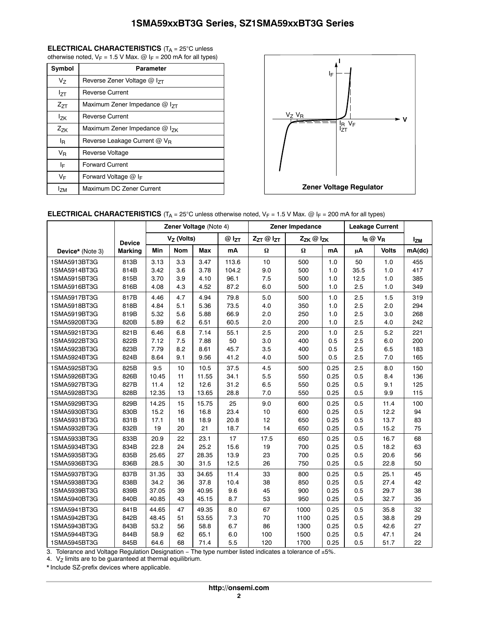## <span id="page-1-0"></span>**ELECTRICAL CHARACTERISTICS** (T<sub>A</sub> = 25°C unless

otherwise noted,  $V_F$  = 1.5 V Max.  $\omega$  I<sub>F</sub> = 200 mA for all types)

| Symbol         | <b>Parameter</b>                            |  |  |  |  |  |  |  |
|----------------|---------------------------------------------|--|--|--|--|--|--|--|
| V <sub>7</sub> | Reverse Zener Voltage $@$ $1_{7}$           |  |  |  |  |  |  |  |
| $I_{7T}$       | Reverse Current                             |  |  |  |  |  |  |  |
| $Z_{7T}$       | Maximum Zener Impedance $@$ I <sub>7T</sub> |  |  |  |  |  |  |  |
| lzk            | <b>Reverse Current</b>                      |  |  |  |  |  |  |  |
| $Z_{7K}$       | Maximum Zener Impedance $@$ $1_{7K}$        |  |  |  |  |  |  |  |
| l <sub>R</sub> | Reverse Leakage Current $@V_{B}$            |  |  |  |  |  |  |  |
| V <sub>R</sub> | Reverse Voltage                             |  |  |  |  |  |  |  |
| ΙF             | <b>Forward Current</b>                      |  |  |  |  |  |  |  |
| VF             | Forward Voltage $@$ I <sub>F</sub>          |  |  |  |  |  |  |  |
| <b>IzM</b>     | Maximum DC Zener Current                    |  |  |  |  |  |  |  |



## **ELECTRICAL CHARACTERISTICS** (T<sub>A</sub> = 25°C unless otherwise noted, V<sub>F</sub> = 1.5 V Max. @ I<sub>F</sub> = 200 mA for all types)

|                  |                | Zener Voltage (Note 4) |            |            |           | Zener Impedance     |          |             | <b>Leakage Current</b> |              |        |
|------------------|----------------|------------------------|------------|------------|-----------|---------------------|----------|-------------|------------------------|--------------|--------|
|                  | <b>Device</b>  | $V7$ (Volts)           |            | $@I_{ZT}$  | ZzT @ IzT | $Z_{ZK}$ @ $I_{ZK}$ |          | $I_R @ V_R$ |                        | <b>IzM</b>   |        |
| Device* (Note 3) | <b>Marking</b> | Min                    | <b>Nom</b> | <b>Max</b> | mA        | $\Omega$            | $\Omega$ | mA          | μA                     | <b>Volts</b> | mA(dc) |
| 1SMA5913BT3G     | 813B           | 3.13                   | 3.3        | 3.47       | 113.6     | 10                  | 500      | 1.0         | 50                     | 1.0          | 455    |
| 1SMA5914BT3G     | 814B           | 3.42                   | 3.6        | 3.78       | 104.2     | 9.0                 | 500      | 1.0         | 35.5                   | 1.0          | 417    |
| 1SMA5915BT3G     | 815B           | 3.70                   | 3.9        | 4.10       | 96.1      | 7.5                 | 500      | 1.0         | 12.5                   | 1.0          | 385    |
| 1SMA5916BT3G     | 816B           | 4.08                   | 4.3        | 4.52       | 87.2      | 6.0                 | 500      | 1.0         | 2.5                    | 1.0          | 349    |
| 1SMA5917BT3G     | 817B           | 4.46                   | 4.7        | 4.94       | 79.8      | 5.0                 | 500      | 1.0         | 2.5                    | 1.5          | 319    |
| 1SMA5918BT3G     | 818B           | 4.84                   | 5.1        | 5.36       | 73.5      | 4.0                 | 350      | 1.0         | 2.5                    | 2.0          | 294    |
| 1SMA5919BT3G     | 819B           | 5.32                   | 5.6        | 5.88       | 66.9      | 2.0                 | 250      | 1.0         | 2.5                    | 3.0          | 268    |
| 1SMA5920BT3G     | 820B           | 5.89                   | 6.2        | 6.51       | 60.5      | 2.0                 | 200      | 1.0         | 2.5                    | 4.0          | 242    |
| 1SMA5921BT3G     | 821B           | 6.46                   | 6.8        | 7.14       | 55.1      | 2.5                 | 200      | 1.0         | 2.5                    | 5.2          | 221    |
| 1SMA5922BT3G     | 822B           | 7.12                   | 7.5        | 7.88       | 50        | 3.0                 | 400      | 0.5         | 2.5                    | 6.0          | 200    |
| 1SMA5923BT3G     | 823B           | 7.79                   | 8.2        | 8.61       | 45.7      | 3.5                 | 400      | 0.5         | 2.5                    | 6.5          | 183    |
| 1SMA5924BT3G     | 824B           | 8.64                   | 9.1        | 9.56       | 41.2      | 4.0                 | 500      | 0.5         | 2.5                    | 7.0          | 165    |
| 1SMA5925BT3G     | 825B           | 9.5                    | 10         | 10.5       | 37.5      | 4.5                 | 500      | 0.25        | 2.5                    | 8.0          | 150    |
| 1SMA5926BT3G     | 826B           | 10.45                  | 11         | 11.55      | 34.1      | 5.5                 | 550      | 0.25        | 0.5                    | 8.4          | 136    |
| 1SMA5927BT3G     | 827B           | 11.4                   | 12         | 12.6       | 31.2      | 6.5                 | 550      | 0.25        | 0.5                    | 9.1          | 125    |
| 1SMA5928BT3G     | 828B           | 12.35                  | 13         | 13.65      | 28.8      | 7.0                 | 550      | 0.25        | 0.5                    | 9.9          | 115    |
| 1SMA5929BT3G     | 829B           | 14.25                  | 15         | 15.75      | 25        | 9.0                 | 600      | 0.25        | 0.5                    | 11.4         | 100    |
| 1SMA5930BT3G     | 830B           | 15.2                   | 16         | 16.8       | 23.4      | 10                  | 600      | 0.25        | 0.5                    | 12.2         | 94     |
| 1SMA5931BT3G     | 831B           | 17.1                   | 18         | 18.9       | 20.8      | 12                  | 650      | 0.25        | 0.5                    | 13.7         | 83     |
| 1SMA5932BT3G     | 832B           | 19                     | 20         | 21         | 18.7      | 14                  | 650      | 0.25        | 0.5                    | 15.2         | 75     |
| 1SMA5933BT3G     | 833B           | 20.9                   | 22         | 23.1       | 17        | 17.5                | 650      | 0.25        | 0.5                    | 16.7         | 68     |
| 1SMA5934BT3G     | 834B           | 22.8                   | 24         | 25.2       | 15.6      | 19                  | 700      | 0.25        | 0.5                    | 18.2         | 63     |
| 1SMA5935BT3G     | 835B           | 25.65                  | 27         | 28.35      | 13.9      | 23                  | 700      | 0.25        | 0.5                    | 20.6         | 56     |
| 1SMA5936BT3G     | 836B           | 28.5                   | 30         | 31.5       | 12.5      | 26                  | 750      | 0.25        | 0.5                    | 22.8         | 50     |
| 1SMA5937BT3G     | 837B           | 31.35                  | 33         | 34.65      | 11.4      | 33                  | 800      | 0.25        | 0.5                    | 25.1         | 45     |
| 1SMA5938BT3G     | 838B           | 34.2                   | 36         | 37.8       | 10.4      | 38                  | 850      | 0.25        | 0.5                    | 27.4         | 42     |
| 1SMA5939BT3G     | 839B           | 37.05                  | 39         | 40.95      | 9.6       | 45                  | 900      | 0.25        | 0.5                    | 29.7         | 38     |
| 1SMA5940BT3G     | 840B           | 40.85                  | 43         | 45.15      | 8.7       | 53                  | 950      | 0.25        | 0.5                    | 32.7         | 35     |
| 1SMA5941BT3G     | 841B           | 44.65                  | 47         | 49.35      | 8.0       | 67                  | 1000     | 0.25        | 0.5                    | 35.8         | 32     |
| 1SMA5942BT3G     | 842B           | 48.45                  | 51         | 53.55      | 7.3       | 70                  | 1100     | 0.25        | 0.5                    | 38.8         | 29     |
| 1SMA5943BT3G     | 843B           | 53.2                   | 56         | 58.8       | 6.7       | 86                  | 1300     | 0.25        | 0.5                    | 42.6         | 27     |
| 1SMA5944BT3G     | 844B           | 58.9                   | 62         | 65.1       | 6.0       | 100                 | 1500     | 0.25        | 0.5                    | 47.1         | 24     |
| 1SMA5945BT3G     | 845B           | 64.6                   | 68         | 71.4       | 5.5       | 120                 | 1700     | 0.25        | 0.5                    | 51.7         | 22     |

3. Tolerance and Voltage Regulation Designation - The type number listed indicates a tolerance of ±5%.

4.  $V_Z$  limits are to be guaranteed at thermal equilibrium.

\* Include SZ-prefix devices where applicable.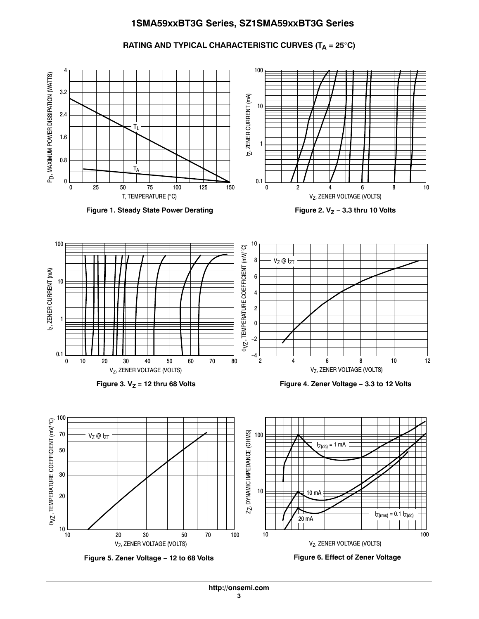RATING AND TYPICAL CHARACTERISTIC CURVES (T<sub>A</sub> = 25<sup>°</sup>C)



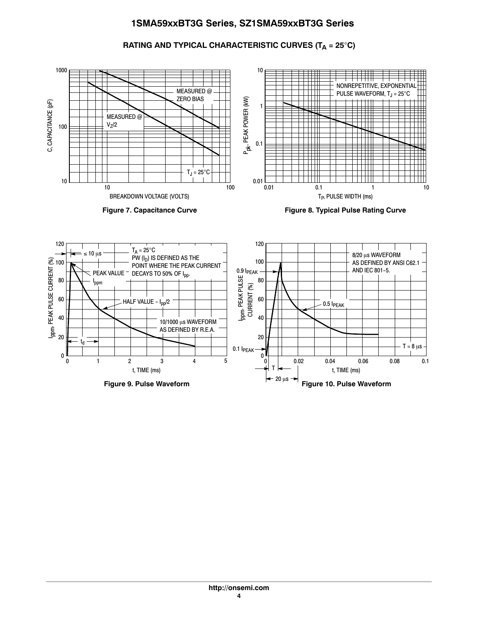RATING AND TYPICAL CHARACTERISTIC CURVES (T<sub>A</sub> = 25<sup>°</sup>C)



Figure 9. Pulse Waveform **Figure 10. Pulse Waveform**